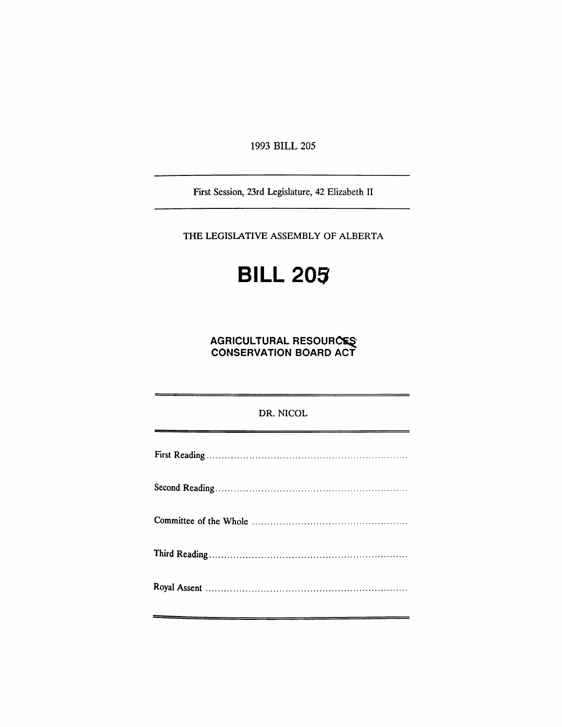1993 BILL 205

First Session, 23rd Legislature, 42 Elizabeth II

THE LEGISLATIVE ASSEMBLY OF ALBERTA

# **BILL 205**

## **AGRICULTURAL RESOURCES CONSERVATION BOARD ACT**

| DR. NICOL |
|-----------|
|           |
|           |
|           |
|           |
|           |
|           |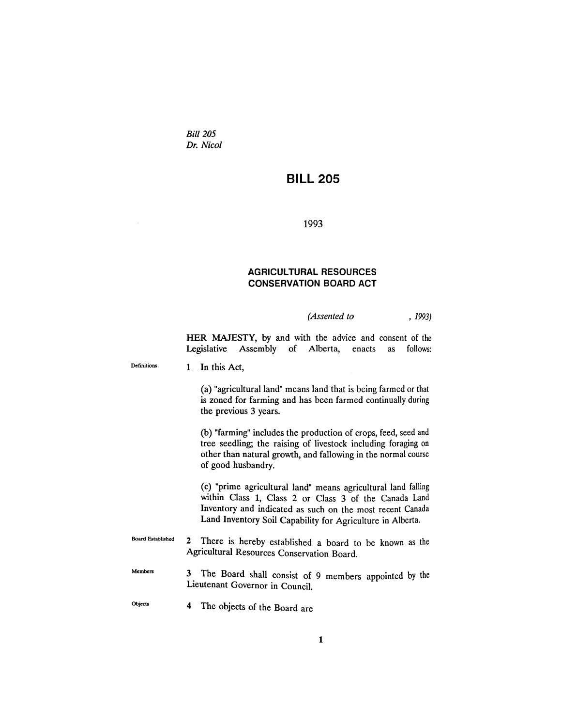*Bill 205 Dr. Nicol*

## **BILL 205**

1993

### **AGRICULTURAL RESOURCES CONSERVATION BOARD ACT**

#### *(Assented to* , 1993)

HER MAJESTY, by and with the advice and consent of the Legislative Assembly of Alberta, enacts as follows:

Definitions

1 In this Act,

(a) "agricultural land" means land that is being farmed or that is zoned for farming and has been farmed continually during the previous 3 years.

(b) "farming" includes the production of crops, feed, seed and tree seedling; the raising of livestock including foraging on other than natural growth, and fallowing in the normal course of good husbandry.

(c) "prime agricultural land" means agricultural land falling within Class 1, Class 2 or Class 3 of the Canada Land Inventory and indicated as such on the most recent Canada Land Inventory Soil Capability for Agriculture in Alberta.

Board Established 2 There is hereby established a board to be known as the Agricultural Resources Conservation Board.

- Members 3 The Board shall consist of 9 members appointed by the Lieutenant Governor in Council.
- Objects 4 The objects of the Board are